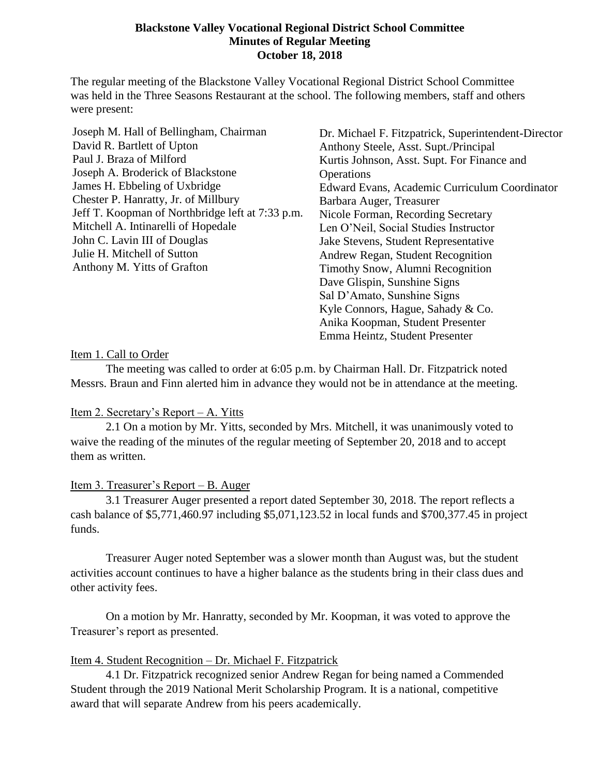#### **Blackstone Valley Vocational Regional District School Committee Minutes of Regular Meeting October 18, 2018**

The regular meeting of the Blackstone Valley Vocational Regional District School Committee was held in the Three Seasons Restaurant at the school. The following members, staff and others were present:

| Joseph M. Hall of Bellingham, Chairman           | Dr. Michael F. Fitzpatrick, Superintendent-Director |
|--------------------------------------------------|-----------------------------------------------------|
| David R. Bartlett of Upton                       | Anthony Steele, Asst. Supt./Principal               |
| Paul J. Braza of Milford                         | Kurtis Johnson, Asst. Supt. For Finance and         |
| Joseph A. Broderick of Blackstone                | Operations                                          |
| James H. Ebbeling of Uxbridge                    | Edward Evans, Academic Curriculum Coordinator       |
| Chester P. Hanratty, Jr. of Millbury             | Barbara Auger, Treasurer                            |
| Jeff T. Koopman of Northbridge left at 7:33 p.m. | Nicole Forman, Recording Secretary                  |
| Mitchell A. Intinarelli of Hopedale              | Len O'Neil, Social Studies Instructor               |
| John C. Lavin III of Douglas                     | Jake Stevens, Student Representative                |
| Julie H. Mitchell of Sutton                      | Andrew Regan, Student Recognition                   |
| Anthony M. Yitts of Grafton                      | Timothy Snow, Alumni Recognition                    |
|                                                  | Dave Glispin, Sunshine Signs                        |
|                                                  | Sal D'Amato, Sunshine Signs                         |
|                                                  | Kyle Connors, Hague, Sahady & Co.                   |
|                                                  | Anika Koopman, Student Presenter                    |
|                                                  | Emma Heintz, Student Presenter                      |

#### Item 1. Call to Order

The meeting was called to order at 6:05 p.m. by Chairman Hall. Dr. Fitzpatrick noted Messrs. Braun and Finn alerted him in advance they would not be in attendance at the meeting.

#### Item 2. Secretary's Report – A. Yitts

2.1 On a motion by Mr. Yitts, seconded by Mrs. Mitchell, it was unanimously voted to waive the reading of the minutes of the regular meeting of September 20, 2018 and to accept them as written.

#### Item 3. Treasurer's Report – B. Auger

3.1 Treasurer Auger presented a report dated September 30, 2018. The report reflects a cash balance of \$5,771,460.97 including \$5,071,123.52 in local funds and \$700,377.45 in project funds.

Treasurer Auger noted September was a slower month than August was, but the student activities account continues to have a higher balance as the students bring in their class dues and other activity fees.

On a motion by Mr. Hanratty, seconded by Mr. Koopman, it was voted to approve the Treasurer's report as presented.

#### Item 4. Student Recognition – Dr. Michael F. Fitzpatrick

4.1 Dr. Fitzpatrick recognized senior Andrew Regan for being named a Commended Student through the 2019 National Merit Scholarship Program. It is a national, competitive award that will separate Andrew from his peers academically.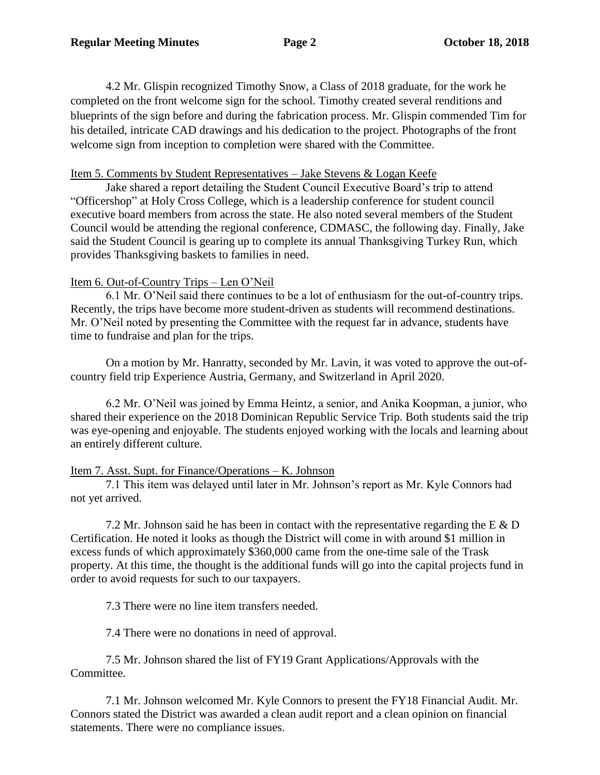4.2 Mr. Glispin recognized Timothy Snow, a Class of 2018 graduate, for the work he completed on the front welcome sign for the school. Timothy created several renditions and blueprints of the sign before and during the fabrication process. Mr. Glispin commended Tim for his detailed, intricate CAD drawings and his dedication to the project. Photographs of the front welcome sign from inception to completion were shared with the Committee.

#### Item 5. Comments by Student Representatives – Jake Stevens & Logan Keefe

Jake shared a report detailing the Student Council Executive Board's trip to attend "Officershop" at Holy Cross College, which is a leadership conference for student council executive board members from across the state. He also noted several members of the Student Council would be attending the regional conference, CDMASC, the following day. Finally, Jake said the Student Council is gearing up to complete its annual Thanksgiving Turkey Run, which provides Thanksgiving baskets to families in need.

### Item 6. Out-of-Country Trips – Len O'Neil

6.1 Mr. O'Neil said there continues to be a lot of enthusiasm for the out-of-country trips. Recently, the trips have become more student-driven as students will recommend destinations. Mr. O'Neil noted by presenting the Committee with the request far in advance, students have time to fundraise and plan for the trips.

On a motion by Mr. Hanratty, seconded by Mr. Lavin, it was voted to approve the out-ofcountry field trip Experience Austria, Germany, and Switzerland in April 2020.

6.2 Mr. O'Neil was joined by Emma Heintz, a senior, and Anika Koopman, a junior, who shared their experience on the 2018 Dominican Republic Service Trip. Both students said the trip was eye-opening and enjoyable. The students enjoyed working with the locals and learning about an entirely different culture.

### Item 7. Asst. Supt. for Finance/Operations – K. Johnson

7.1 This item was delayed until later in Mr. Johnson's report as Mr. Kyle Connors had not yet arrived.

7.2 Mr. Johnson said he has been in contact with the representative regarding the  $E \& D$ Certification. He noted it looks as though the District will come in with around \$1 million in excess funds of which approximately \$360,000 came from the one-time sale of the Trask property. At this time, the thought is the additional funds will go into the capital projects fund in order to avoid requests for such to our taxpayers.

7.3 There were no line item transfers needed.

7.4 There were no donations in need of approval.

7.5 Mr. Johnson shared the list of FY19 Grant Applications/Approvals with the Committee.

7.1 Mr. Johnson welcomed Mr. Kyle Connors to present the FY18 Financial Audit. Mr. Connors stated the District was awarded a clean audit report and a clean opinion on financial statements. There were no compliance issues.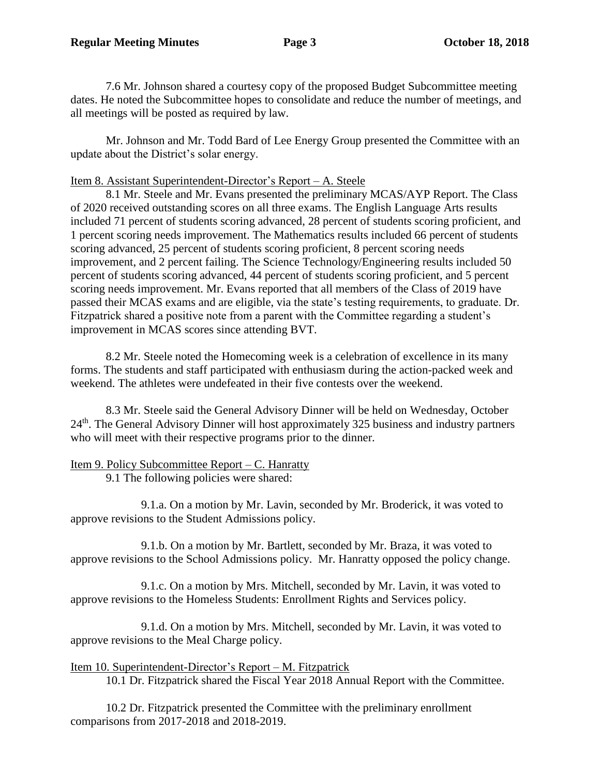7.6 Mr. Johnson shared a courtesy copy of the proposed Budget Subcommittee meeting dates. He noted the Subcommittee hopes to consolidate and reduce the number of meetings, and all meetings will be posted as required by law.

Mr. Johnson and Mr. Todd Bard of Lee Energy Group presented the Committee with an update about the District's solar energy.

### Item 8. Assistant Superintendent-Director's Report – A. Steele

8.1 Mr. Steele and Mr. Evans presented the preliminary MCAS/AYP Report. The Class of 2020 received outstanding scores on all three exams. The English Language Arts results included 71 percent of students scoring advanced, 28 percent of students scoring proficient, and 1 percent scoring needs improvement. The Mathematics results included 66 percent of students scoring advanced, 25 percent of students scoring proficient, 8 percent scoring needs improvement, and 2 percent failing. The Science Technology/Engineering results included 50 percent of students scoring advanced, 44 percent of students scoring proficient, and 5 percent scoring needs improvement. Mr. Evans reported that all members of the Class of 2019 have passed their MCAS exams and are eligible, via the state's testing requirements, to graduate. Dr. Fitzpatrick shared a positive note from a parent with the Committee regarding a student's improvement in MCAS scores since attending BVT.

8.2 Mr. Steele noted the Homecoming week is a celebration of excellence in its many forms. The students and staff participated with enthusiasm during the action-packed week and weekend. The athletes were undefeated in their five contests over the weekend.

8.3 Mr. Steele said the General Advisory Dinner will be held on Wednesday, October 24<sup>th</sup>. The General Advisory Dinner will host approximately 325 business and industry partners who will meet with their respective programs prior to the dinner.

# Item 9. Policy Subcommittee Report – C. Hanratty

9.1 The following policies were shared:

9.1.a. On a motion by Mr. Lavin, seconded by Mr. Broderick, it was voted to approve revisions to the Student Admissions policy.

9.1.b. On a motion by Mr. Bartlett, seconded by Mr. Braza, it was voted to approve revisions to the School Admissions policy. Mr. Hanratty opposed the policy change.

9.1.c. On a motion by Mrs. Mitchell, seconded by Mr. Lavin, it was voted to approve revisions to the Homeless Students: Enrollment Rights and Services policy.

9.1.d. On a motion by Mrs. Mitchell, seconded by Mr. Lavin, it was voted to approve revisions to the Meal Charge policy.

# Item 10. Superintendent-Director's Report – M. Fitzpatrick

10.1 Dr. Fitzpatrick shared the Fiscal Year 2018 Annual Report with the Committee.

10.2 Dr. Fitzpatrick presented the Committee with the preliminary enrollment comparisons from 2017-2018 and 2018-2019.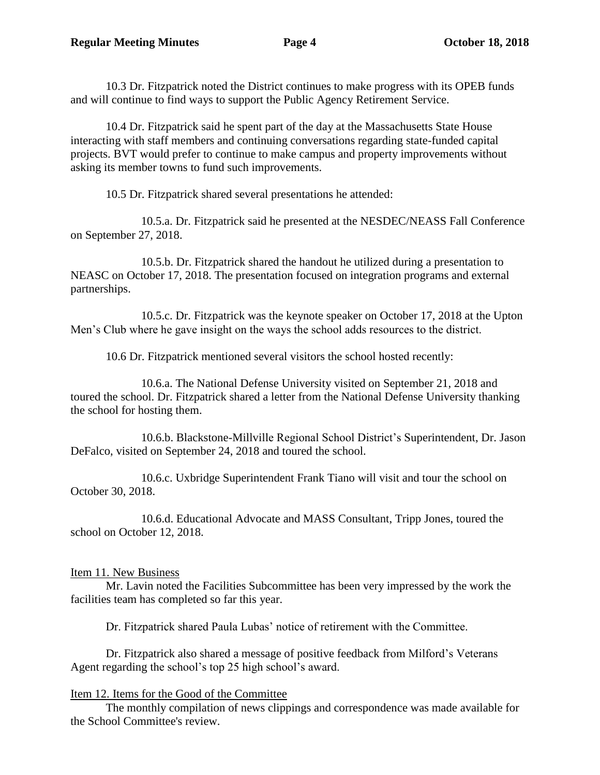10.3 Dr. Fitzpatrick noted the District continues to make progress with its OPEB funds and will continue to find ways to support the Public Agency Retirement Service.

10.4 Dr. Fitzpatrick said he spent part of the day at the Massachusetts State House interacting with staff members and continuing conversations regarding state-funded capital projects. BVT would prefer to continue to make campus and property improvements without asking its member towns to fund such improvements.

10.5 Dr. Fitzpatrick shared several presentations he attended:

10.5.a. Dr. Fitzpatrick said he presented at the NESDEC/NEASS Fall Conference on September 27, 2018.

10.5.b. Dr. Fitzpatrick shared the handout he utilized during a presentation to NEASC on October 17, 2018. The presentation focused on integration programs and external partnerships.

10.5.c. Dr. Fitzpatrick was the keynote speaker on October 17, 2018 at the Upton Men's Club where he gave insight on the ways the school adds resources to the district.

10.6 Dr. Fitzpatrick mentioned several visitors the school hosted recently:

10.6.a. The National Defense University visited on September 21, 2018 and toured the school. Dr. Fitzpatrick shared a letter from the National Defense University thanking the school for hosting them.

10.6.b. Blackstone-Millville Regional School District's Superintendent, Dr. Jason DeFalco, visited on September 24, 2018 and toured the school.

10.6.c. Uxbridge Superintendent Frank Tiano will visit and tour the school on October 30, 2018.

10.6.d. Educational Advocate and MASS Consultant, Tripp Jones, toured the school on October 12, 2018.

# Item 11. New Business

Mr. Lavin noted the Facilities Subcommittee has been very impressed by the work the facilities team has completed so far this year.

Dr. Fitzpatrick shared Paula Lubas' notice of retirement with the Committee.

Dr. Fitzpatrick also shared a message of positive feedback from Milford's Veterans Agent regarding the school's top 25 high school's award.

# Item 12. Items for the Good of the Committee

The monthly compilation of news clippings and correspondence was made available for the School Committee's review.